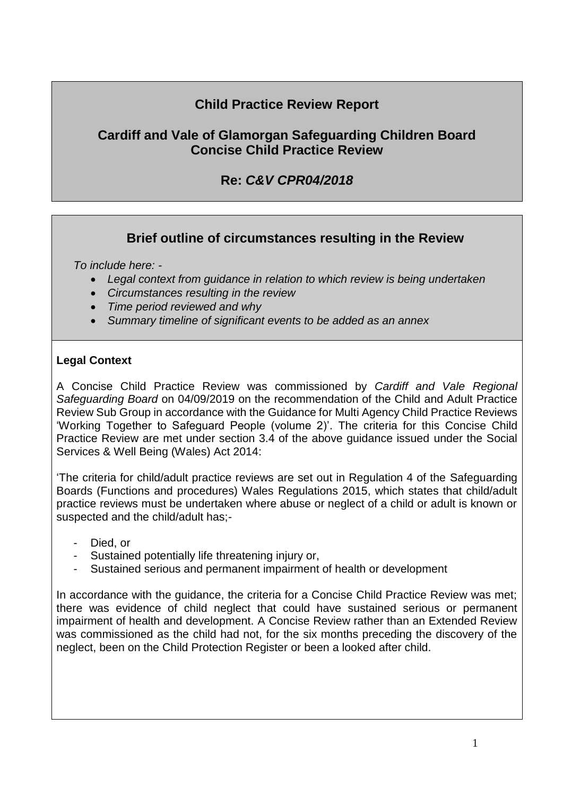# **Child Practice Review Report**

## **Cardiff and Vale of Glamorgan Safeguarding Children Board Concise Child Practice Review**

# **Re:** *C&V CPR04/2018*

## **Brief outline of circumstances resulting in the Review**

*To include here: -*

- *Legal context from guidance in relation to which review is being undertaken*
- *Circumstances resulting in the review*
- *Time period reviewed and why*
- *Summary timeline of significant events to be added as an annex*

### **Legal Context**

A Concise Child Practice Review was commissioned by *Cardiff and Vale Regional Safeguarding Board* on 04/09/2019 on the recommendation of the Child and Adult Practice Review Sub Group in accordance with the Guidance for Multi Agency Child Practice Reviews 'Working Together to Safeguard People (volume 2)'. The criteria for this Concise Child Practice Review are met under section 3.4 of the above guidance issued under the Social Services & Well Being (Wales) Act 2014:

'The criteria for child/adult practice reviews are set out in Regulation 4 of the Safeguarding Boards (Functions and procedures) Wales Regulations 2015, which states that child/adult practice reviews must be undertaken where abuse or neglect of a child or adult is known or suspected and the child/adult has;-

- Died, or
- Sustained potentially life threatening injury or,
- Sustained serious and permanent impairment of health or development

In accordance with the quidance, the criteria for a Concise Child Practice Review was met; there was evidence of child neglect that could have sustained serious or permanent impairment of health and development. A Concise Review rather than an Extended Review was commissioned as the child had not, for the six months preceding the discovery of the neglect, been on the Child Protection Register or been a looked after child.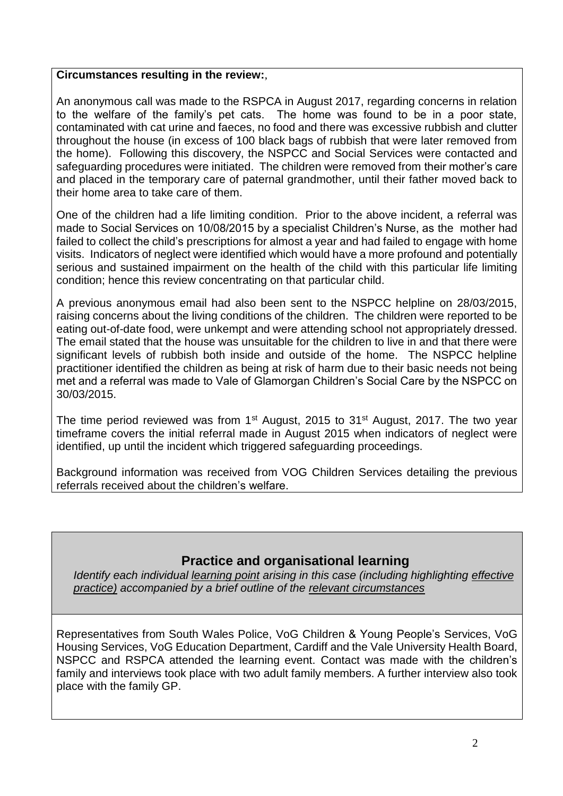#### **Circumstances resulting in the review:**,

An anonymous call was made to the RSPCA in August 2017, regarding concerns in relation to the welfare of the family's pet cats. The home was found to be in a poor state, contaminated with cat urine and faeces, no food and there was excessive rubbish and clutter throughout the house (in excess of 100 black bags of rubbish that were later removed from the home). Following this discovery, the NSPCC and Social Services were contacted and safeguarding procedures were initiated. The children were removed from their mother's care and placed in the temporary care of paternal grandmother, until their father moved back to their home area to take care of them.

One of the children had a life limiting condition. Prior to the above incident, a referral was made to Social Services on 10/08/2015 by a specialist Children's Nurse, as the mother had failed to collect the child's prescriptions for almost a year and had failed to engage with home visits. Indicators of neglect were identified which would have a more profound and potentially serious and sustained impairment on the health of the child with this particular life limiting condition; hence this review concentrating on that particular child.

A previous anonymous email had also been sent to the NSPCC helpline on 28/03/2015, raising concerns about the living conditions of the children. The children were reported to be eating out-of-date food, were unkempt and were attending school not appropriately dressed. The email stated that the house was unsuitable for the children to live in and that there were significant levels of rubbish both inside and outside of the home. The NSPCC helpline practitioner identified the children as being at risk of harm due to their basic needs not being met and a referral was made to Vale of Glamorgan Children's Social Care by the NSPCC on 30/03/2015.

The time period reviewed was from 1<sup>st</sup> August, 2015 to 31<sup>st</sup> August, 2017. The two year timeframe covers the initial referral made in August 2015 when indicators of neglect were identified, up until the incident which triggered safeguarding proceedings.

Background information was received from VOG Children Services detailing the previous referrals received about the children's welfare.

## **Practice and organisational learning**

*Identify each individual learning point arising in this case (including highlighting effective practice) accompanied by a brief outline of the relevant circumstances*

Representatives from South Wales Police, VoG Children & Young People's Services, VoG Housing Services, VoG Education Department, Cardiff and the Vale University Health Board, NSPCC and RSPCA attended the learning event. Contact was made with the children's family and interviews took place with two adult family members. A further interview also took place with the family GP.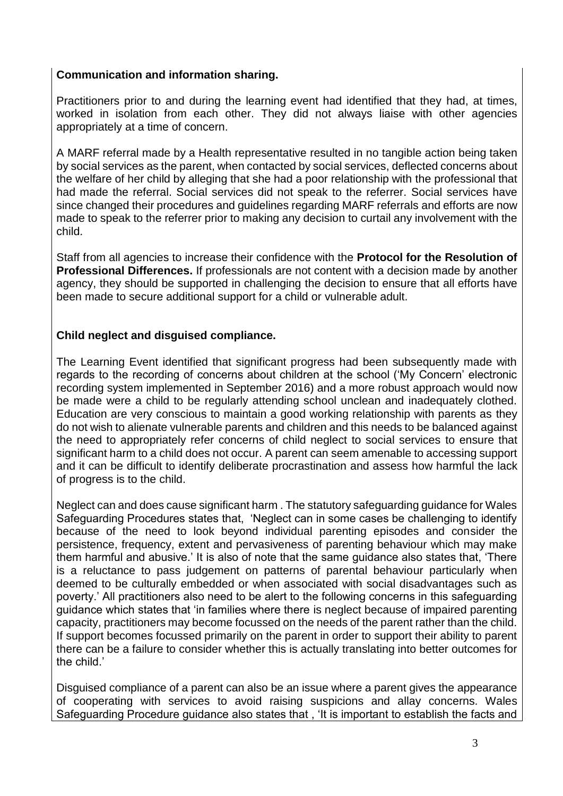### **Communication and information sharing.**

Practitioners prior to and during the learning event had identified that they had, at times, worked in isolation from each other. They did not always liaise with other agencies appropriately at a time of concern.

A MARF referral made by a Health representative resulted in no tangible action being taken by social services as the parent, when contacted by social services, deflected concerns about the welfare of her child by alleging that she had a poor relationship with the professional that had made the referral. Social services did not speak to the referrer. Social services have since changed their procedures and guidelines regarding MARF referrals and efforts are now made to speak to the referrer prior to making any decision to curtail any involvement with the child.

Staff from all agencies to increase their confidence with the **Protocol for the Resolution of Professional Differences.** If professionals are not content with a decision made by another agency, they should be supported in challenging the decision to ensure that all efforts have been made to secure additional support for a child or vulnerable adult.

## **Child neglect and disguised compliance.**

The Learning Event identified that significant progress had been subsequently made with regards to the recording of concerns about children at the school ('My Concern' electronic recording system implemented in September 2016) and a more robust approach would now be made were a child to be regularly attending school unclean and inadequately clothed. Education are very conscious to maintain a good working relationship with parents as they do not wish to alienate vulnerable parents and children and this needs to be balanced against the need to appropriately refer concerns of child neglect to social services to ensure that significant harm to a child does not occur. A parent can seem amenable to accessing support and it can be difficult to identify deliberate procrastination and assess how harmful the lack of progress is to the child.

Neglect can and does cause significant harm . The statutory safeguarding guidance for Wales Safeguarding Procedures states that, 'Neglect can in some cases be challenging to identify because of the need to look beyond individual parenting episodes and consider the persistence, frequency, extent and pervasiveness of parenting behaviour which may make them harmful and abusive.' It is also of note that the same guidance also states that, 'There is a reluctance to pass judgement on patterns of parental behaviour particularly when deemed to be culturally embedded or when associated with social disadvantages such as poverty.' All practitioners also need to be alert to the following concerns in this safeguarding guidance which states that 'in families where there is neglect because of impaired parenting capacity, practitioners may become focussed on the needs of the parent rather than the child. If support becomes focussed primarily on the parent in order to support their ability to parent there can be a failure to consider whether this is actually translating into better outcomes for the child.'

Disguised compliance of a parent can also be an issue where a parent gives the appearance of cooperating with services to avoid raising suspicions and allay concerns. Wales Safeguarding Procedure guidance also states that , 'It is important to establish the facts and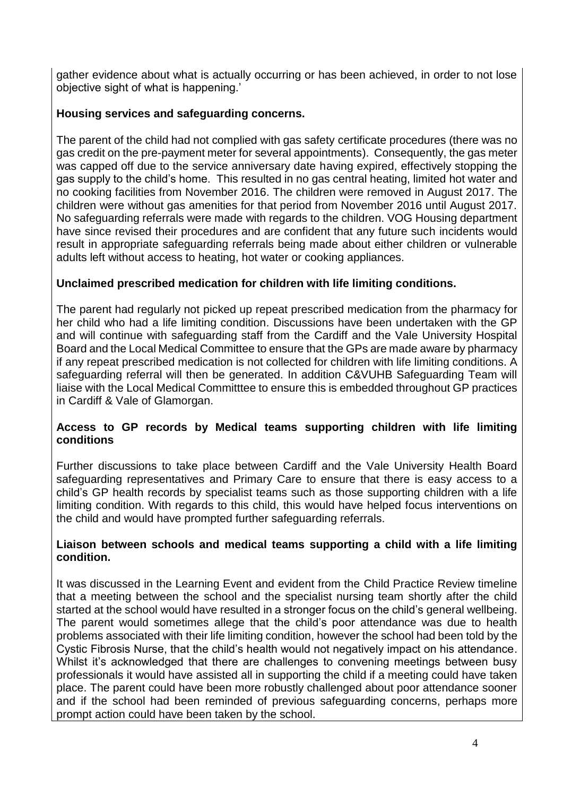gather evidence about what is actually occurring or has been achieved, in order to not lose objective sight of what is happening.'

## **Housing services and safeguarding concerns.**

The parent of the child had not complied with gas safety certificate procedures (there was no gas credit on the pre-payment meter for several appointments). Consequently, the gas meter was capped off due to the service anniversary date having expired, effectively stopping the gas supply to the child's home. This resulted in no gas central heating, limited hot water and no cooking facilities from November 2016. The children were removed in August 2017. The children were without gas amenities for that period from November 2016 until August 2017. No safeguarding referrals were made with regards to the children. VOG Housing department have since revised their procedures and are confident that any future such incidents would result in appropriate safeguarding referrals being made about either children or vulnerable adults left without access to heating, hot water or cooking appliances.

## **Unclaimed prescribed medication for children with life limiting conditions.**

The parent had regularly not picked up repeat prescribed medication from the pharmacy for her child who had a life limiting condition. Discussions have been undertaken with the GP and will continue with safeguarding staff from the Cardiff and the Vale University Hospital Board and the Local Medical Committee to ensure that the GPs are made aware by pharmacy if any repeat prescribed medication is not collected for children with life limiting conditions. A safeguarding referral will then be generated. In addition C&VUHB Safeguarding Team will liaise with the Local Medical Committtee to ensure this is embedded throughout GP practices in Cardiff & Vale of Glamorgan.

### **Access to GP records by Medical teams supporting children with life limiting conditions**

Further discussions to take place between Cardiff and the Vale University Health Board safeguarding representatives and Primary Care to ensure that there is easy access to a child's GP health records by specialist teams such as those supporting children with a life limiting condition. With regards to this child, this would have helped focus interventions on the child and would have prompted further safeguarding referrals.

#### **Liaison between schools and medical teams supporting a child with a life limiting condition.**

It was discussed in the Learning Event and evident from the Child Practice Review timeline that a meeting between the school and the specialist nursing team shortly after the child started at the school would have resulted in a stronger focus on the child's general wellbeing. The parent would sometimes allege that the child's poor attendance was due to health problems associated with their life limiting condition, however the school had been told by the Cystic Fibrosis Nurse, that the child's health would not negatively impact on his attendance. Whilst it's acknowledged that there are challenges to convening meetings between busy professionals it would have assisted all in supporting the child if a meeting could have taken place. The parent could have been more robustly challenged about poor attendance sooner and if the school had been reminded of previous safeguarding concerns, perhaps more prompt action could have been taken by the school.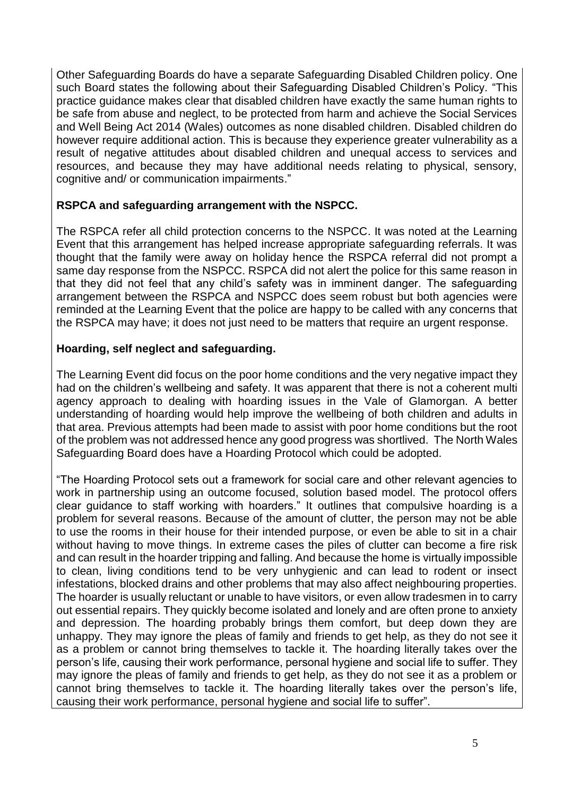Other Safeguarding Boards do have a separate Safeguarding Disabled Children policy. One such Board states the following about their Safeguarding Disabled Children's Policy. "This practice guidance makes clear that disabled children have exactly the same human rights to be safe from abuse and neglect, to be protected from harm and achieve the Social Services and Well Being Act 2014 (Wales) outcomes as none disabled children. Disabled children do however require additional action. This is because they experience greater vulnerability as a result of negative attitudes about disabled children and unequal access to services and resources, and because they may have additional needs relating to physical, sensory, cognitive and/ or communication impairments."

#### **RSPCA and safeguarding arrangement with the NSPCC.**

The RSPCA refer all child protection concerns to the NSPCC. It was noted at the Learning Event that this arrangement has helped increase appropriate safeguarding referrals. It was thought that the family were away on holiday hence the RSPCA referral did not prompt a same day response from the NSPCC. RSPCA did not alert the police for this same reason in that they did not feel that any child's safety was in imminent danger. The safeguarding arrangement between the RSPCA and NSPCC does seem robust but both agencies were reminded at the Learning Event that the police are happy to be called with any concerns that the RSPCA may have; it does not just need to be matters that require an urgent response.

#### **Hoarding, self neglect and safeguarding.**

The Learning Event did focus on the poor home conditions and the very negative impact they had on the children's wellbeing and safety. It was apparent that there is not a coherent multi agency approach to dealing with hoarding issues in the Vale of Glamorgan. A better understanding of hoarding would help improve the wellbeing of both children and adults in that area. Previous attempts had been made to assist with poor home conditions but the root of the problem was not addressed hence any good progress was shortlived. The North Wales Safeguarding Board does have a Hoarding Protocol which could be adopted.

"The Hoarding Protocol sets out a framework for social care and other relevant agencies to work in partnership using an outcome focused, solution based model. The protocol offers clear guidance to staff working with hoarders." It outlines that compulsive hoarding is a problem for several reasons. Because of the amount of clutter, the person may not be able to use the rooms in their house for their intended purpose, or even be able to sit in a chair without having to move things. In extreme cases the piles of clutter can become a fire risk and can result in the hoarder tripping and falling. And because the home is virtually impossible to clean, living conditions tend to be very unhygienic and can lead to rodent or insect infestations, blocked drains and other problems that may also affect neighbouring properties. The hoarder is usually reluctant or unable to have visitors, or even allow tradesmen in to carry out essential repairs. They quickly become isolated and lonely and are often prone to anxiety and depression. The hoarding probably brings them comfort, but deep down they are unhappy. They may ignore the pleas of family and friends to get help, as they do not see it as a problem or cannot bring themselves to tackle it. The hoarding literally takes over the person's life, causing their work performance, personal hygiene and social life to suffer. They may ignore the pleas of family and friends to get help, as they do not see it as a problem or cannot bring themselves to tackle it. The hoarding literally takes over the person's life, causing their work performance, personal hygiene and social life to suffer".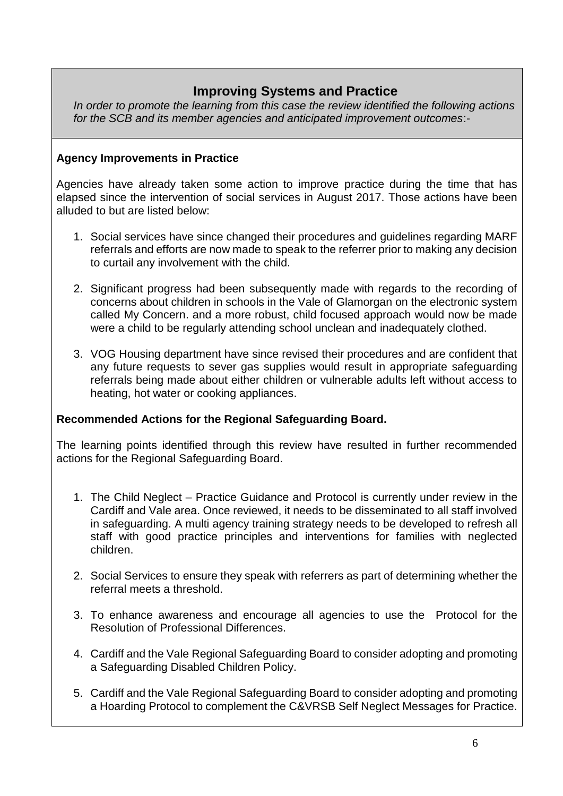# **Improving Systems and Practice**

*In order to promote the learning from this case the review identified the following actions for the SCB and its member agencies and anticipated improvement outcomes*:-

### **Agency Improvements in Practice**

Agencies have already taken some action to improve practice during the time that has elapsed since the intervention of social services in August 2017. Those actions have been alluded to but are listed below:

- 1. Social services have since changed their procedures and guidelines regarding MARF referrals and efforts are now made to speak to the referrer prior to making any decision to curtail any involvement with the child.
- 2. Significant progress had been subsequently made with regards to the recording of concerns about children in schools in the Vale of Glamorgan on the electronic system called My Concern. and a more robust, child focused approach would now be made were a child to be regularly attending school unclean and inadequately clothed.
- 3. VOG Housing department have since revised their procedures and are confident that any future requests to sever gas supplies would result in appropriate safeguarding referrals being made about either children or vulnerable adults left without access to heating, hot water or cooking appliances.

#### **Recommended Actions for the Regional Safeguarding Board.**

The learning points identified through this review have resulted in further recommended actions for the Regional Safeguarding Board.

- 1. The Child Neglect Practice Guidance and Protocol is currently under review in the Cardiff and Vale area. Once reviewed, it needs to be disseminated to all staff involved in safeguarding. A multi agency training strategy needs to be developed to refresh all staff with good practice principles and interventions for families with neglected children.
- 2. Social Services to ensure they speak with referrers as part of determining whether the referral meets a threshold.
- 3. To enhance awareness and encourage all agencies to use the Protocol for the Resolution of Professional Differences.
- 4. Cardiff and the Vale Regional Safeguarding Board to consider adopting and promoting a Safeguarding Disabled Children Policy.
- 5. Cardiff and the Vale Regional Safeguarding Board to consider adopting and promoting a Hoarding Protocol to complement the C&VRSB Self Neglect Messages for Practice.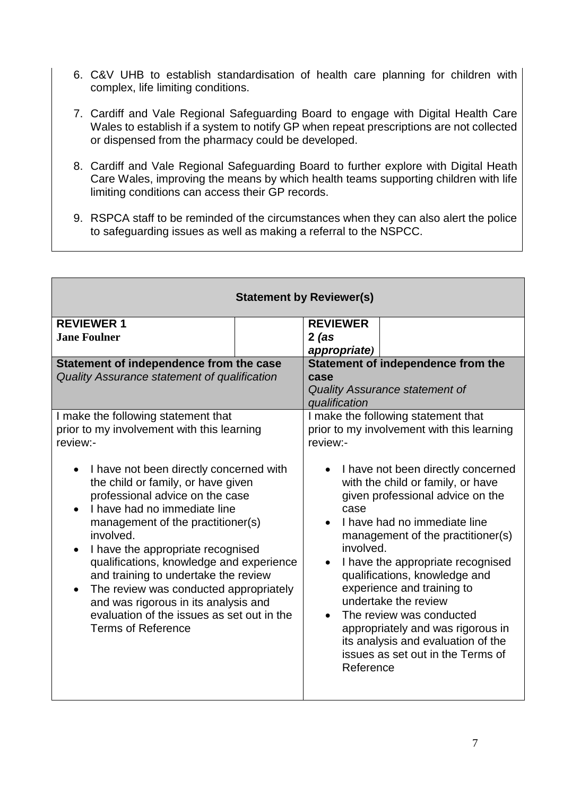- 6. C&V UHB to establish standardisation of health care planning for children with complex, life limiting conditions.
- 7. Cardiff and Vale Regional Safeguarding Board to engage with Digital Health Care Wales to establish if a system to notify GP when repeat prescriptions are not collected or dispensed from the pharmacy could be developed.
- 8. Cardiff and Vale Regional Safeguarding Board to further explore with Digital Heath Care Wales, improving the means by which health teams supporting children with life limiting conditions can access their GP records.
- 9. RSPCA staff to be reminded of the circumstances when they can also alert the police to safeguarding issues as well as making a referral to the NSPCC.

|                                                                                                                                                                                                                                                                                                                                                                                                                                                                                                       | <b>Statement by Reviewer(s)</b>                                                                                                                                                                                                                                                                                                                                                                                                                                                                         |  |  |  |
|-------------------------------------------------------------------------------------------------------------------------------------------------------------------------------------------------------------------------------------------------------------------------------------------------------------------------------------------------------------------------------------------------------------------------------------------------------------------------------------------------------|---------------------------------------------------------------------------------------------------------------------------------------------------------------------------------------------------------------------------------------------------------------------------------------------------------------------------------------------------------------------------------------------------------------------------------------------------------------------------------------------------------|--|--|--|
| <b>REVIEWER 1</b><br><b>Jane Foulner</b>                                                                                                                                                                                                                                                                                                                                                                                                                                                              | <b>REVIEWER</b><br>$2$ (as<br>appropriate)                                                                                                                                                                                                                                                                                                                                                                                                                                                              |  |  |  |
| Statement of independence from the case<br>Quality Assurance statement of qualification                                                                                                                                                                                                                                                                                                                                                                                                               | Statement of independence from the<br>case<br><b>Quality Assurance statement of</b><br>qualification<br>I make the following statement that<br>prior to my involvement with this learning<br>review:-                                                                                                                                                                                                                                                                                                   |  |  |  |
| I make the following statement that<br>prior to my involvement with this learning<br>review:-                                                                                                                                                                                                                                                                                                                                                                                                         |                                                                                                                                                                                                                                                                                                                                                                                                                                                                                                         |  |  |  |
| I have not been directly concerned with<br>the child or family, or have given<br>professional advice on the case<br>I have had no immediate line<br>management of the practitioner(s)<br>involved.<br>I have the appropriate recognised<br>$\bullet$<br>qualifications, knowledge and experience<br>and training to undertake the review<br>The review was conducted appropriately<br>and was rigorous in its analysis and<br>evaluation of the issues as set out in the<br><b>Terms of Reference</b> | I have not been directly concerned<br>with the child or family, or have<br>given professional advice on the<br>case<br>I have had no immediate line<br>management of the practitioner(s)<br>involved.<br>I have the appropriate recognised<br>$\bullet$<br>qualifications, knowledge and<br>experience and training to<br>undertake the review<br>The review was conducted<br>appropriately and was rigorous in<br>its analysis and evaluation of the<br>issues as set out in the Terms of<br>Reference |  |  |  |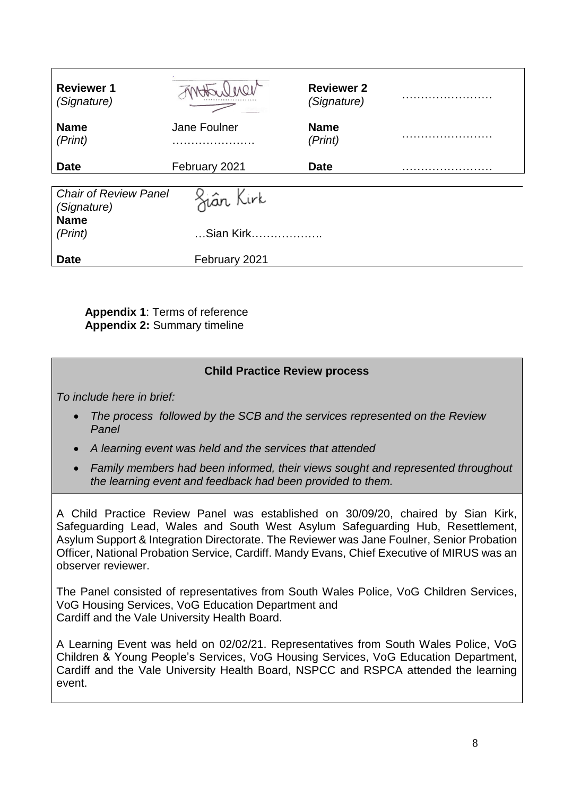| <b>Reviewer 1</b><br>(Signature)            |                   | <b>Reviewer 2</b><br>(Signature) | . |
|---------------------------------------------|-------------------|----------------------------------|---|
| <b>Name</b><br>(Print)                      | Jane Foulner      | <b>Name</b><br>(Print)           |   |
| <b>Date</b>                                 | February 2021     | <b>Date</b>                      |   |
| <b>Chair of Review Panel</b><br>(Signature) | <u>Si</u> ân Kirk |                                  |   |
| <b>Name</b><br>(Print)                      | Sian Kirk         |                                  |   |
| <b>Date</b>                                 | February 2021     |                                  |   |

**Appendix 1**: Terms of reference **Appendix 2:** Summary timeline

## **Child Practice Review process**

*To include here in brief:*

- *The process followed by the SCB and the services represented on the Review Panel*
- *A learning event was held and the services that attended*
- *Family members had been informed, their views sought and represented throughout the learning event and feedback had been provided to them.*

A Child Practice Review Panel was established on 30/09/20, chaired by Sian Kirk, Safeguarding Lead, Wales and South West Asylum Safeguarding Hub, Resettlement, Asylum Support & Integration Directorate. The Reviewer was Jane Foulner, Senior Probation Officer, National Probation Service, Cardiff. Mandy Evans, Chief Executive of MIRUS was an observer reviewer.

The Panel consisted of representatives from South Wales Police, VoG Children Services, VoG Housing Services, VoG Education Department and Cardiff and the Vale University Health Board.

A Learning Event was held on 02/02/21. Representatives from South Wales Police, VoG Children & Young People's Services, VoG Housing Services, VoG Education Department, Cardiff and the Vale University Health Board, NSPCC and RSPCA attended the learning event.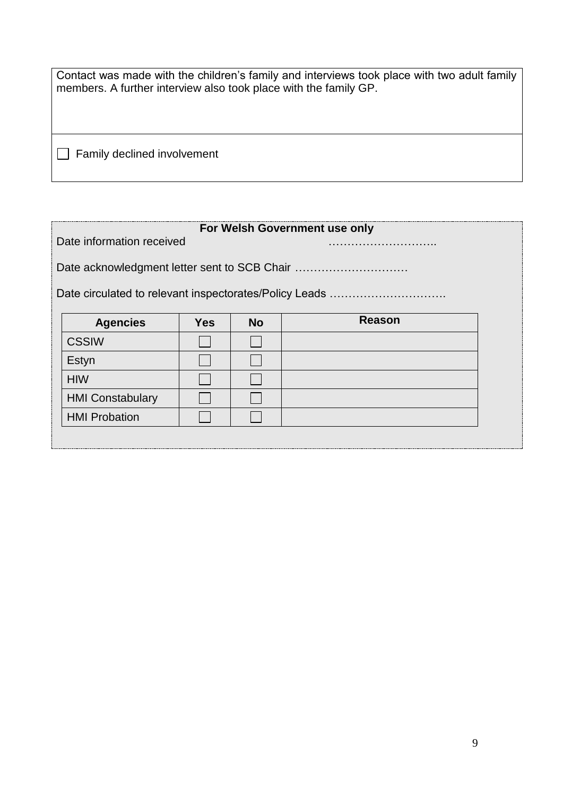| Contact was made with the children's family and interviews took place with two adult family |  |  |  |  |  |
|---------------------------------------------------------------------------------------------|--|--|--|--|--|
| members. A further interview also took place with the family GP.                            |  |  |  |  |  |

Family declined involvement

# **For Welsh Government use only**

Date information received **EXALL** 

Date acknowledgment letter sent to SCB Chair ...................................

Date circulated to relevant inspectorates/Policy Leads ………………………….

| <b>Agencies</b>         | <b>Yes</b> | <b>No</b> | Reason |
|-------------------------|------------|-----------|--------|
| <b>CSSIW</b>            |            |           |        |
| Estyn                   |            |           |        |
| <b>HIW</b>              |            |           |        |
| <b>HMI Constabulary</b> |            |           |        |
| <b>HMI Probation</b>    |            |           |        |
|                         |            |           |        |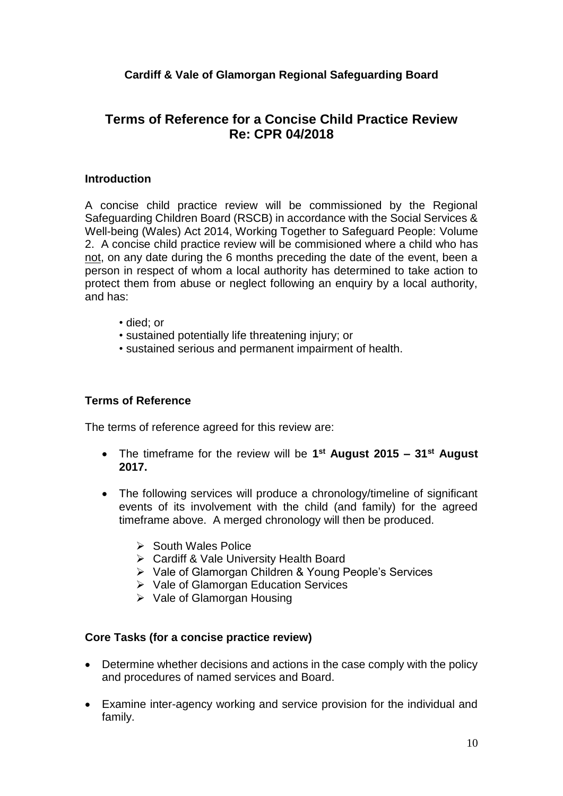# **Terms of Reference for a Concise Child Practice Review Re: CPR 04/2018**

#### **Introduction**

A concise child practice review will be commissioned by the Regional Safeguarding Children Board (RSCB) in accordance with the Social Services & Well-being (Wales) Act 2014, Working Together to Safeguard People: Volume 2. A concise child practice review will be commisioned where a child who has not, on any date during the 6 months preceding the date of the event, been a person in respect of whom a local authority has determined to take action to protect them from abuse or neglect following an enquiry by a local authority, and has:

- died; or
- sustained potentially life threatening injury; or
- sustained serious and permanent impairment of health.

### **Terms of Reference**

The terms of reference agreed for this review are:

- The timeframe for the review will be **1 st August 2015 – 31st August 2017.**
- The following services will produce a chronology/timeline of significant events of its involvement with the child (and family) for the agreed timeframe above. A merged chronology will then be produced.
	- $\triangleright$  South Wales Police
	- Cardiff & Vale University Health Board
	- Vale of Glamorgan Children & Young People's Services
	- **▶ Vale of Glamorgan Education Services**
	- $\triangleright$  Vale of Glamorgan Housing

### **Core Tasks (for a concise practice review)**

- Determine whether decisions and actions in the case comply with the policy and procedures of named services and Board.
- Examine inter-agency working and service provision for the individual and family.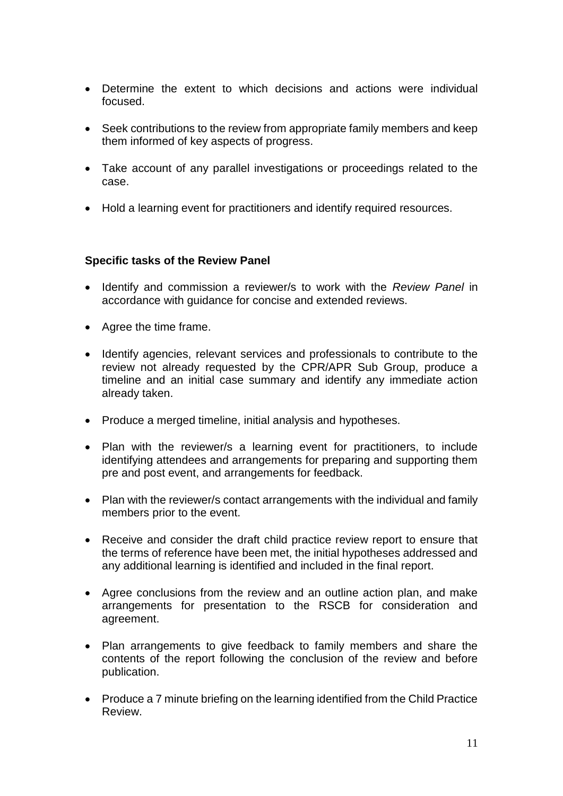- Determine the extent to which decisions and actions were individual focused.
- Seek contributions to the review from appropriate family members and keep them informed of key aspects of progress.
- Take account of any parallel investigations or proceedings related to the case.
- Hold a learning event for practitioners and identify required resources.

#### **Specific tasks of the Review Panel**

- Identify and commission a reviewer/s to work with the *Review Panel* in accordance with guidance for concise and extended reviews.
- Agree the time frame.
- Identify agencies, relevant services and professionals to contribute to the review not already requested by the CPR/APR Sub Group, produce a timeline and an initial case summary and identify any immediate action already taken.
- Produce a merged timeline, initial analysis and hypotheses.
- Plan with the reviewer/s a learning event for practitioners, to include identifying attendees and arrangements for preparing and supporting them pre and post event, and arrangements for feedback.
- Plan with the reviewer/s contact arrangements with the individual and family members prior to the event.
- Receive and consider the draft child practice review report to ensure that the terms of reference have been met, the initial hypotheses addressed and any additional learning is identified and included in the final report.
- Agree conclusions from the review and an outline action plan, and make arrangements for presentation to the RSCB for consideration and agreement.
- Plan arrangements to give feedback to family members and share the contents of the report following the conclusion of the review and before publication.
- Produce a 7 minute briefing on the learning identified from the Child Practice Review.